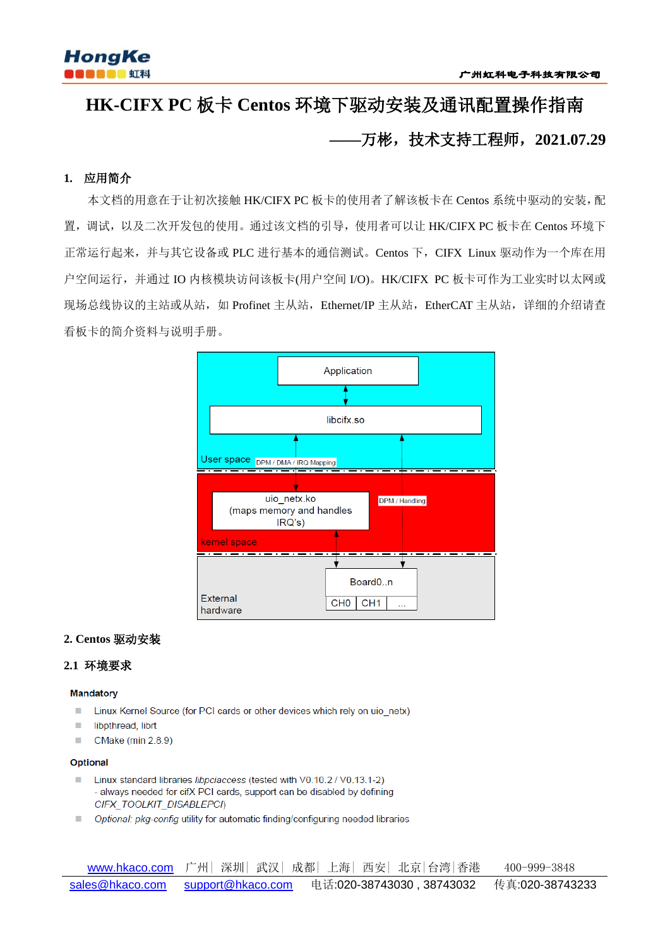

# **HK-CIFX PC** 板卡 **Centos** 环境下驱动安装及通讯配置操作指南 **——**万彬,技术支持工程师,**2021.07.29**

# **1.** 应用简介

本文档的用意在于让初次接触 HK/CIFX PC 板卡的使用者了解该板卡在 Centos 系统中驱动的安装,配 置,调试,以及二次开发包的使用。通过该文档的引导,使用者可以让 HK/CIFX PC 板卡在 Centos 环境下 正常运行起来,并与其它设备或 PLC 进行基本的通信测试。Centos 下,CIFX Linux 驱动作为一个库在用 户空间运行,并通过 IO 内核模块访问该板卡(用户空间 I/O)。HK/CIFX PC 板卡可作为工业实时以太网或 现场总线协议的主站或从站,如 Profinet 主从站, Ethernet/IP 主从站, EtherCAT 主从站, 详细的介绍请查 看板卡的简介资料与说明手册。



# **2. Centos** 驱动安装

# **2.1** 环境要求

#### **Mandatory**

- Linux Kernel Source (for PCI cards or other devices which rely on uio netx)  $\blacksquare$
- $\mathbf{m}$ libpthread, librt
- CMake (min 2.8.9) л

#### Optional

- Linux standard libraries libpciaccess (tested with V0.10.2 / V0.13.1-2) - always needed for cifX PCI cards, support can be disabled by defining CIFX\_TOOLKIT\_DISABLEPCI)
- Optional: pkg-config utility for automatic finding/configuring needed libraries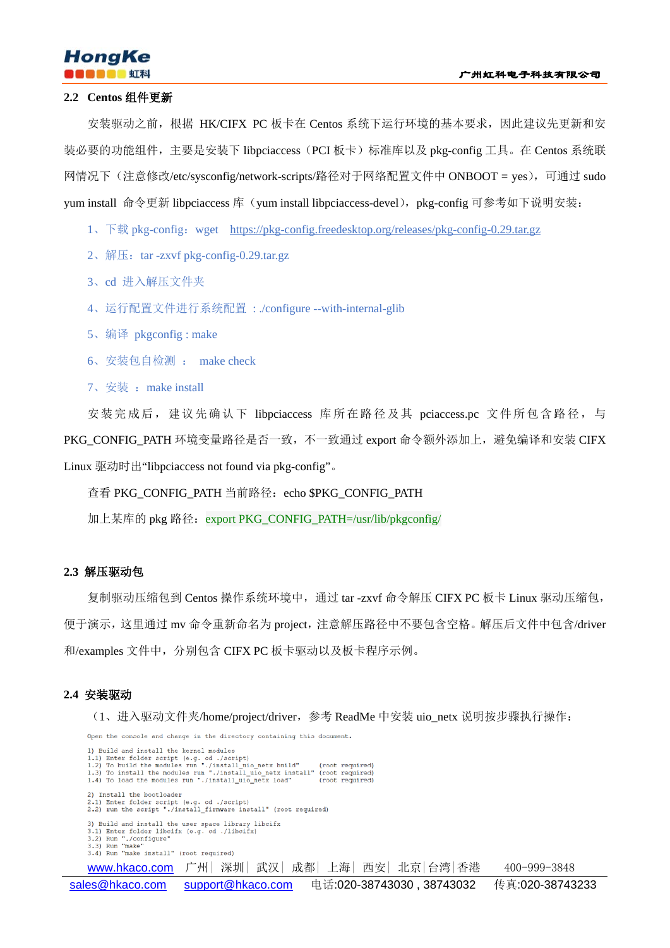

#### **2.2 Centos** 组件更新

安装驱动之前,根据 HK/CIFX PC 板卡在 Centos 系统下运行环境的基本要求,因此建议先更新和安 装必要的功能组件,主要是安装下 libpciaccess (PCI 板卡) 标准库以及 pkg-config 工具。在 Centos 系统联 网情况下(注意修改/etc/sysconfig/network-scripts/路径对于网络配置文件中 ONBOOT = yes),可通过 sudo yum install 命令更新 libpciaccess 库 (yum install libpciaccess-devel), pkg-config 可参考如下说明安装:

- 1、下载 pkg-config:wget <https://pkg-config.freedesktop.org/releases/pkg-config-0.29.tar.gz>
- 2、解压: tar -zxvf pkg-config-0.29.tar.gz
- 3、cd 进入解压文件夹
- 4、运行配置文件进行系统配置 : ./configure --with-internal-glib
- 5、编译 pkgconfig : make
- 6、安装包自检测 : make check
- 7、安装: make install

安装完成后,建议先确认下 libpciaccess 库所在路径及其 pciaccess.pc 文件所包含路径,与

PKG\_CONFIG\_PATH 环境变量路径是否一致,不一致通过 export 命令额外添加上,避免编译和安装 CIFX

Linux 驱动时出"libpciaccess not found via pkg-config"。

查看 PKG\_CONFIG\_PATH 当前路径: echo \$PKG\_CONFIG\_PATH

加上某库的 pkg 路径: export PKG\_CONFIG\_PATH=/usr/lib/pkgconfig/

#### **2.3** 解压驱动包

复制驱动压缩包到 Centos 操作系统环境中,通过 tar -zxvf 命令解压 CIFX PC 板卡 Linux 驱动压缩包, 便于演示,这里通过 mv 命令重新命名为 project,注意解压路径中不要包含空格。解压后文件中包含/driver 和/examples 文件中, 分别包含 CIFX PC 板卡驱动以及板卡程序示例。

#### **2.4** 安装驱动

(1、进入驱动文件夹/home/project/driver,参考 ReadMe 中安装 uio\_netx 说明按步骤执行操作:

Open the console and change in the directory containing this document.

1) Build and install the kernel modules 1) Build and install the kernel modules<br>1.1) Enter folder script (e.g. cd ./script)<br>1.2) To build the modules run "./install\_uio\_netx\_build" (root\_required)<br>1.3) To install the modules run "./install\_uio\_netx\_install" (roo 2) Install the bootloader 2.1) Enter folder script (e.g. cd ./script)<br>2.2) Fun the script "./install\_firmware install" (root required) 3) Build and install the user space library libcifx<br>3.1) Enter folder libcifx (e.g. od ./libcifx)<br>3.2) Run "./configure"<br>3.3) Run "make"<br>3.4) Run "make" (root required) <u>www.hkaco.com</u> 广州│深圳│武汉│成都│上海│西安│北京│台湾│香港 400-999-3848 [sales@hkaco.com](mailto:sales@hkaco.com) [support@hkaco.com](mailto:support@hkaco.com) 电话:020-38743030 , 38743032 传真:020-38743233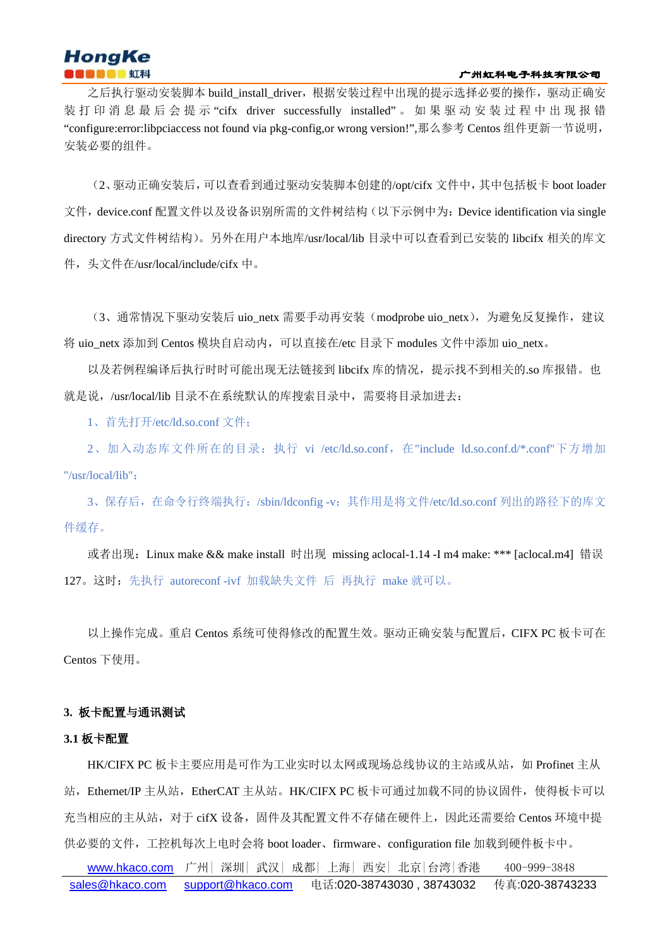### 广州虹科电子科技有限公司

# **HongKe**

之后执行驱动安装脚本 build\_install\_driver,根据安装过程中出现的提示选择必要的操作,驱动正确安 装 打 印 消 息 最 后 会 提 示 "cifx driver successfully installed" 。 如 果 驱 动 安 装 过 程 中 出 现 报 错 "configure:error:libpciaccess not found via pkg-config,or wrong version!",那么参考 Centos 组件更新一节说明, 安装必要的组件。

(2、驱动正确安装后,可以查看到通过驱动安装脚本创建的/opt/cifx 文件中,其中包括板卡 boot loader 文件, device.conf 配置文件以及设备识别所需的文件树结构(以下示例中为: Device identification via single directory 方式文件树结构)。另外在用户本地库/usr/local/lib 目录中可以查看到已安装的 libcifx 相关的库文 件,头文件在/usr/local/include/cifx 中。

(3、通常情况下驱动安装后 uio\_netx 需要手动再安装(modprobe uio\_netx), 为避免反复操作,建议 将 uio\_netx 添加到 Centos 模块自启动内,可以直接在/etc 目录下 modules 文件中添加 uio\_netx。

以及若例程编译后执行时时可能出现无法链接到 libcifx 库的情况,提示找不到相关的.so 库报错。也 就是说, /usr/local/lib 目录不在系统默认的库搜索目录中, 需要将目录加进去:

1、首先打开/etc/ld.so.conf 文件;

2、加入动态库文件所在的目录:执行 vi /etc/ld.so.conf,在"include ld.so.conf.d/\*.conf"下方增加 "/usr/local/lib";

3、保存后,在命令行终端执行:/sbin/ldconfig -v;其作用是将文件/etc/ld.so.conf 列出的路径下的库文 件缓存。

或者出现:Linux make && make install 时出现 missing aclocal-1.14 -I m4 make: \*\*\* [aclocal.m4] 错误 127。这时:先执行 autoreconf -ivf 加载缺失文件 后 再执行 make 就可以。

以上操作完成。重启 Centos 系统可使得修改的配置生效。驱动正确安装与配置后,CIFX PC 板卡可在 Centos 下使用。

# **3.** 板卡配置与通讯测试

### **3.1** 板卡配置

HK/CIFX PC 板卡主要应用是可作为工业实时以太网或现场总线协议的主站或从站,如 Profinet 主从 站, Ethernet/IP 主从站, EtherCAT 主从站。HK/CIFX PC 板卡可通过加载不同的协议固件, 使得板卡可以 充当相应的主从站,对于 cifX 设备,固件及其配置文件不存储在硬件上,因此还需要给 Centos 环境中提 供必要的文件,工控机每次上电时会将 boot loader、firmware、configuration file 加载到硬件板卡中。

 [www.hkaco.com](http://www.hkaco.com/) 广州| 深圳| 武汉| 成都| 上海| 西安| 北京|台湾|香港 400-999-3848 [sales@hkaco.com](mailto:sales@hkaco.com) [support@hkaco.com](mailto:support@hkaco.com) 电话:020-38743030 , 38743032 传真:020-38743233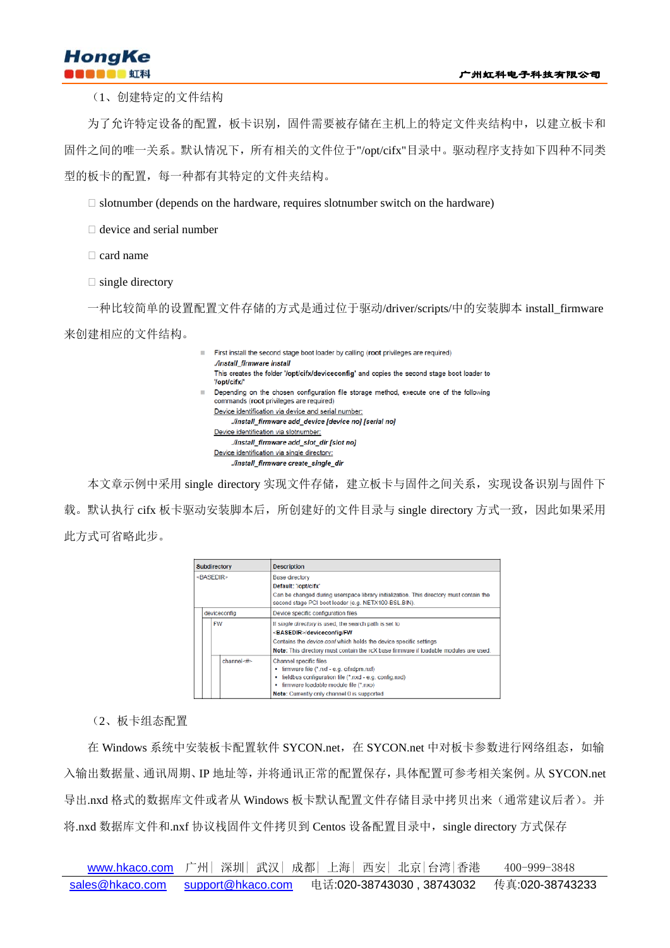(1、创建特定的文件结构

为了允许特定设备的配置,板卡识别,固件需要被存储在主机上的特定文件夹结构中,以建立板卡和 固件之间的唯一关系。默认情况下,所有相关的文件位于"/opt/cifx"目录中。驱动程序支持如下四种不同类 型的板卡的配置,每一种都有其特定的文件夹结构。

 $\Box$  slotnumber (depends on the hardware, requires slotnumber switch on the hardware)

 $\Box$  device and serial number

 $\Box$  card name

 $\Box$  single directory

一种比较简单的设置配置文件存储的方式是通过位于驱动/driver/scripts/中的安装脚本 install\_firmware

来创建相应的文件结构。

| ш | First install the second stage boot loader by calling (root privileges are required)                                               |
|---|------------------------------------------------------------------------------------------------------------------------------------|
|   | <b><i>Jinstall firmware install</i></b>                                                                                            |
|   | This creates the folder '/opt/cifx/deviceconfig' and copies the second stage boot loader to<br>'/opt/cifx/'                        |
|   | Depending on the chosen configuration file storage method, execute one of the following<br>commands (root privileges are required) |
|   | Device identification via device and serial number:                                                                                |
|   | linstall firmware add device [device no] [serial no].                                                                              |
|   | Device identification via slotnumber:                                                                                              |
|   | Jinstall firmware add slot dir [slot no]                                                                                           |
|   | Device identification via single directory:                                                                                        |
|   | linstall firmware create single dir                                                                                                |
|   |                                                                                                                                    |

本文章示例中采用 single directory 实现文件存储, 建立板卡与固件之间关系, 实现设备识别与固件下 载。默认执行 cifx 板卡驱动安装脚本后, 所创建好的文件目录与 single directory 方式一致, 因此如果采用 此方式可省略此步。

| Subdirectory        | <b>Description</b>                                                                                                                                                                                                                                                   |
|---------------------|----------------------------------------------------------------------------------------------------------------------------------------------------------------------------------------------------------------------------------------------------------------------|
| <basedir></basedir> | <b>Base directory</b><br>Default: '/opt/cifx'<br>Can be changed during userspace library initialization. This directory must contain the<br>second stage PCI boot loader (e.g. NETX100-BSL.BIN).                                                                     |
| deviceconfig        | Device specific configuration files                                                                                                                                                                                                                                  |
| <b>FW</b>           | If single directory is used, the search path is set to<br><basedir>/deviceconfig/FW<br/>Contains the <i>device conf</i> which holds the device specific settings<br/>Note: This directory must contain the rcX base firmware if loadable modules are used.</basedir> |
| channel<#>          | Channel specific files<br>• firmware file (*.nxf - e.g. cifxdpm.nxf)<br>fieldbus configuration file (*.nxd - e.g. config.nxd)<br>٠<br>· firmware loadable module file (*.nxo)<br>Note: Currently only channel 0 is supported                                         |

(2、板卡组态配置

在 Windows 系统中安装板卡配置软件 SYCON.net, 在 SYCON.net 中对板卡参数进行网络组态, 如输 入输出数据量、通讯周期、IP 地址等,并将通讯正常的配置保存,具体配置可参考相关案例。从 SYCON.net 导出.nxd 格式的数据库文件或者从 Windows 板卡默认配置文件存储目录中拷贝出来(通常建议后者)。并 将.nxd 数据库文件和.nxf 协议栈固件文件拷贝到 Centos 设备配置目录中, single directory 方式保存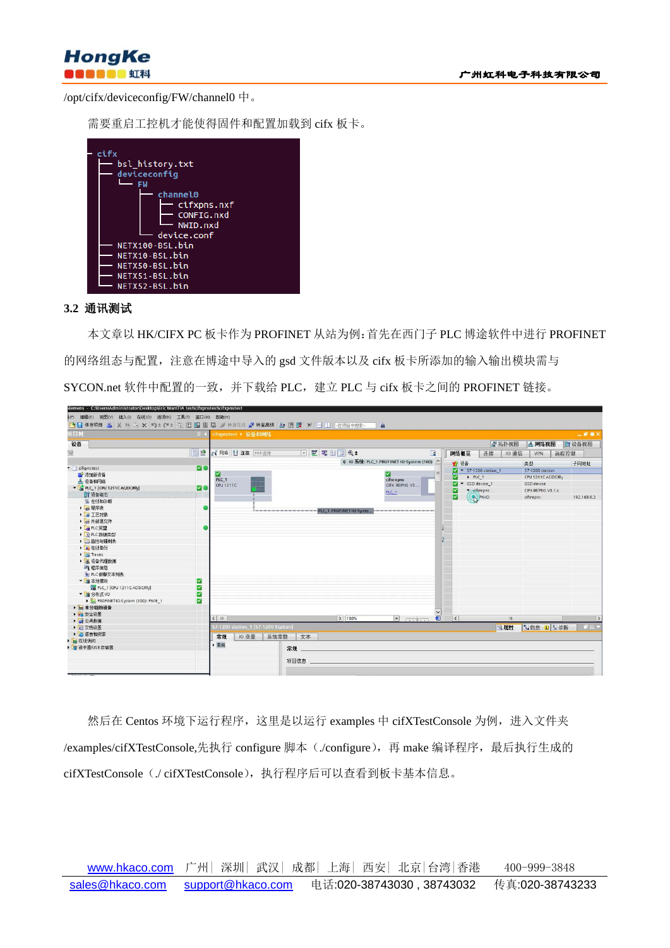

/opt/cifx/deviceconfig/FW/channel0 中。

需要重启工控机才能使得固件和配置加载到 cifx 板卡。



# **3.2** 通讯测试

本文章以 HK/CIFX PC 板卡作为 PROFINET 从站为例:首先在西门子 PLC 博途软件中进行 PROFINET 的网络组态与配置,注意在博途中导入的 gsd 文件版本以及 cifx 板卡所添加的输入输出模块需与 SYCON.net 软件中配置的一致,并下载给 PLC, 建立 PLC 与 cifx 板卡之间的 PROFINET 链接。

| 设备<br>一拓扑视图<br>品网络视图<br>『『设备视图<br>回動<br>▽置号田国Q±<br>鹽<br>■ 网络  连接 HM 连接<br>$\Xi$<br>10 通信<br>网络概览<br>连接<br>远程控制<br><b>VPN</b><br>Q 10 系统: PLC 1, PROFINET 10-System (100) △<br>₩ 设备<br>子网地址<br>类型<br><b>MO</b><br>r difigurant point<br>$\blacktriangleright$ S7-1200 station_1<br>\$7-1200 station<br>M<br>■ 添加新设备<br>$PLC_1$<br>CPU 1211C AC/DC/Rly<br>cifxrepns<br>PLC 1<br><b>高 设备和网络</b><br>v GSD device 1<br>GSD device<br>CIFX REPNS V3<br>CPU 1211C<br><b>Me</b><br>PLC_1 [CPU 1211C AC/DC/Rly]<br>cifyrepns<br>CIFX REIPNS V3.1.x<br>↜<br>PLC_1<br><b>IT 设备组态</b><br>☑<br><b>BENHO</b><br>cifirepns<br>192.168.0.2<br>9. 在线和诊断<br>▶ 一程序块<br><b>NEW WARRANT REPORTED THE PLC 1.PROFINET IO-Syste</b> Increase were a construction<br>▶ 工艺对象<br>▶ 间 外部原文件<br>▶ BLC 变量<br>▶ C PLC 数据类型<br>▶ 国监控与强制表<br>▶ ■ 在线备份<br>$\blacktriangleright$ $\blacktriangleright$ Traces<br>▶ 圖 设备代理数据<br>14 程序信息<br>■ PLC 报警文本列表<br>▼ ■ 本地模块<br>⊠<br>☑<br>PLC_1 [CPU 1211C AC/DC/RIv]<br>▼ 通 分布式 I/O<br>⊻<br>⊻<br>PROFINETIO-System (100): PN/IE 1<br>▶ 一 未分组的设备<br>■ 古安全设置<br>日<br>> 100%<br>$\blacksquare$<br>$  \zeta  $<br>$\langle$   $\mathbb{R}$<br>m<br>▶ → 公共数据<br>57-1200 station_1 [S7-1200 Station]<br><b>NES 9 2 诊断</b><br>Q属性<br>▶ 图文档设置<br>▶ □ 语言和资源<br>10 变量<br>系统常数<br>常规<br>文本<br>■ 在线访问<br>▶ 常规<br>■ 读卡器/USB 存储器<br>常规 | 项目树 |  | □ < cifxpnstest → 设备和网络 |  |  |  |  |  | 二亚亚×          |
|------------------------------------------------------------------------------------------------------------------------------------------------------------------------------------------------------------------------------------------------------------------------------------------------------------------------------------------------------------------------------------------------------------------------------------------------------------------------------------------------------------------------------------------------------------------------------------------------------------------------------------------------------------------------------------------------------------------------------------------------------------------------------------------------------------------------------------------------------------------------------------------------------------------------------------------------------------------------------------------------------------------------------------------------------------------------------------------------------------------------------------------------------------------------------------------------------------------------------------------------------------------------------------------------------------------------------|-----|--|-------------------------|--|--|--|--|--|---------------|
|                                                                                                                                                                                                                                                                                                                                                                                                                                                                                                                                                                                                                                                                                                                                                                                                                                                                                                                                                                                                                                                                                                                                                                                                                                                                                                                              |     |  |                         |  |  |  |  |  |               |
|                                                                                                                                                                                                                                                                                                                                                                                                                                                                                                                                                                                                                                                                                                                                                                                                                                                                                                                                                                                                                                                                                                                                                                                                                                                                                                                              |     |  |                         |  |  |  |  |  |               |
|                                                                                                                                                                                                                                                                                                                                                                                                                                                                                                                                                                                                                                                                                                                                                                                                                                                                                                                                                                                                                                                                                                                                                                                                                                                                                                                              |     |  |                         |  |  |  |  |  |               |
|                                                                                                                                                                                                                                                                                                                                                                                                                                                                                                                                                                                                                                                                                                                                                                                                                                                                                                                                                                                                                                                                                                                                                                                                                                                                                                                              |     |  |                         |  |  |  |  |  |               |
|                                                                                                                                                                                                                                                                                                                                                                                                                                                                                                                                                                                                                                                                                                                                                                                                                                                                                                                                                                                                                                                                                                                                                                                                                                                                                                                              |     |  |                         |  |  |  |  |  |               |
|                                                                                                                                                                                                                                                                                                                                                                                                                                                                                                                                                                                                                                                                                                                                                                                                                                                                                                                                                                                                                                                                                                                                                                                                                                                                                                                              |     |  |                         |  |  |  |  |  |               |
|                                                                                                                                                                                                                                                                                                                                                                                                                                                                                                                                                                                                                                                                                                                                                                                                                                                                                                                                                                                                                                                                                                                                                                                                                                                                                                                              |     |  |                         |  |  |  |  |  |               |
|                                                                                                                                                                                                                                                                                                                                                                                                                                                                                                                                                                                                                                                                                                                                                                                                                                                                                                                                                                                                                                                                                                                                                                                                                                                                                                                              |     |  |                         |  |  |  |  |  |               |
|                                                                                                                                                                                                                                                                                                                                                                                                                                                                                                                                                                                                                                                                                                                                                                                                                                                                                                                                                                                                                                                                                                                                                                                                                                                                                                                              |     |  |                         |  |  |  |  |  |               |
|                                                                                                                                                                                                                                                                                                                                                                                                                                                                                                                                                                                                                                                                                                                                                                                                                                                                                                                                                                                                                                                                                                                                                                                                                                                                                                                              |     |  |                         |  |  |  |  |  |               |
|                                                                                                                                                                                                                                                                                                                                                                                                                                                                                                                                                                                                                                                                                                                                                                                                                                                                                                                                                                                                                                                                                                                                                                                                                                                                                                                              |     |  |                         |  |  |  |  |  |               |
|                                                                                                                                                                                                                                                                                                                                                                                                                                                                                                                                                                                                                                                                                                                                                                                                                                                                                                                                                                                                                                                                                                                                                                                                                                                                                                                              |     |  |                         |  |  |  |  |  |               |
|                                                                                                                                                                                                                                                                                                                                                                                                                                                                                                                                                                                                                                                                                                                                                                                                                                                                                                                                                                                                                                                                                                                                                                                                                                                                                                                              |     |  |                         |  |  |  |  |  |               |
|                                                                                                                                                                                                                                                                                                                                                                                                                                                                                                                                                                                                                                                                                                                                                                                                                                                                                                                                                                                                                                                                                                                                                                                                                                                                                                                              |     |  |                         |  |  |  |  |  |               |
|                                                                                                                                                                                                                                                                                                                                                                                                                                                                                                                                                                                                                                                                                                                                                                                                                                                                                                                                                                                                                                                                                                                                                                                                                                                                                                                              |     |  |                         |  |  |  |  |  |               |
|                                                                                                                                                                                                                                                                                                                                                                                                                                                                                                                                                                                                                                                                                                                                                                                                                                                                                                                                                                                                                                                                                                                                                                                                                                                                                                                              |     |  |                         |  |  |  |  |  |               |
|                                                                                                                                                                                                                                                                                                                                                                                                                                                                                                                                                                                                                                                                                                                                                                                                                                                                                                                                                                                                                                                                                                                                                                                                                                                                                                                              |     |  |                         |  |  |  |  |  |               |
|                                                                                                                                                                                                                                                                                                                                                                                                                                                                                                                                                                                                                                                                                                                                                                                                                                                                                                                                                                                                                                                                                                                                                                                                                                                                                                                              |     |  |                         |  |  |  |  |  |               |
|                                                                                                                                                                                                                                                                                                                                                                                                                                                                                                                                                                                                                                                                                                                                                                                                                                                                                                                                                                                                                                                                                                                                                                                                                                                                                                                              |     |  |                         |  |  |  |  |  |               |
|                                                                                                                                                                                                                                                                                                                                                                                                                                                                                                                                                                                                                                                                                                                                                                                                                                                                                                                                                                                                                                                                                                                                                                                                                                                                                                                              |     |  |                         |  |  |  |  |  |               |
|                                                                                                                                                                                                                                                                                                                                                                                                                                                                                                                                                                                                                                                                                                                                                                                                                                                                                                                                                                                                                                                                                                                                                                                                                                                                                                                              |     |  |                         |  |  |  |  |  |               |
|                                                                                                                                                                                                                                                                                                                                                                                                                                                                                                                                                                                                                                                                                                                                                                                                                                                                                                                                                                                                                                                                                                                                                                                                                                                                                                                              |     |  |                         |  |  |  |  |  |               |
|                                                                                                                                                                                                                                                                                                                                                                                                                                                                                                                                                                                                                                                                                                                                                                                                                                                                                                                                                                                                                                                                                                                                                                                                                                                                                                                              |     |  |                         |  |  |  |  |  |               |
|                                                                                                                                                                                                                                                                                                                                                                                                                                                                                                                                                                                                                                                                                                                                                                                                                                                                                                                                                                                                                                                                                                                                                                                                                                                                                                                              |     |  |                         |  |  |  |  |  |               |
|                                                                                                                                                                                                                                                                                                                                                                                                                                                                                                                                                                                                                                                                                                                                                                                                                                                                                                                                                                                                                                                                                                                                                                                                                                                                                                                              |     |  |                         |  |  |  |  |  |               |
|                                                                                                                                                                                                                                                                                                                                                                                                                                                                                                                                                                                                                                                                                                                                                                                                                                                                                                                                                                                                                                                                                                                                                                                                                                                                                                                              |     |  |                         |  |  |  |  |  |               |
|                                                                                                                                                                                                                                                                                                                                                                                                                                                                                                                                                                                                                                                                                                                                                                                                                                                                                                                                                                                                                                                                                                                                                                                                                                                                                                                              |     |  |                         |  |  |  |  |  | $\rightarrow$ |
|                                                                                                                                                                                                                                                                                                                                                                                                                                                                                                                                                                                                                                                                                                                                                                                                                                                                                                                                                                                                                                                                                                                                                                                                                                                                                                                              |     |  |                         |  |  |  |  |  | ●日本           |
|                                                                                                                                                                                                                                                                                                                                                                                                                                                                                                                                                                                                                                                                                                                                                                                                                                                                                                                                                                                                                                                                                                                                                                                                                                                                                                                              |     |  |                         |  |  |  |  |  |               |
|                                                                                                                                                                                                                                                                                                                                                                                                                                                                                                                                                                                                                                                                                                                                                                                                                                                                                                                                                                                                                                                                                                                                                                                                                                                                                                                              |     |  |                         |  |  |  |  |  |               |
|                                                                                                                                                                                                                                                                                                                                                                                                                                                                                                                                                                                                                                                                                                                                                                                                                                                                                                                                                                                                                                                                                                                                                                                                                                                                                                                              |     |  |                         |  |  |  |  |  |               |
|                                                                                                                                                                                                                                                                                                                                                                                                                                                                                                                                                                                                                                                                                                                                                                                                                                                                                                                                                                                                                                                                                                                                                                                                                                                                                                                              |     |  |                         |  |  |  |  |  |               |

然后在 Centos 环境下运行程序, 这里是以运行 examples 中 cifXTestConsole 为例, 进入文件夹 /examples/cifXTestConsole,先执行 configure 脚本(./configure),再 make 编译程序,最后执行生成的 cifXTestConsole(./cifXTestConsole),执行程序后可以查看到板卡基本信息。